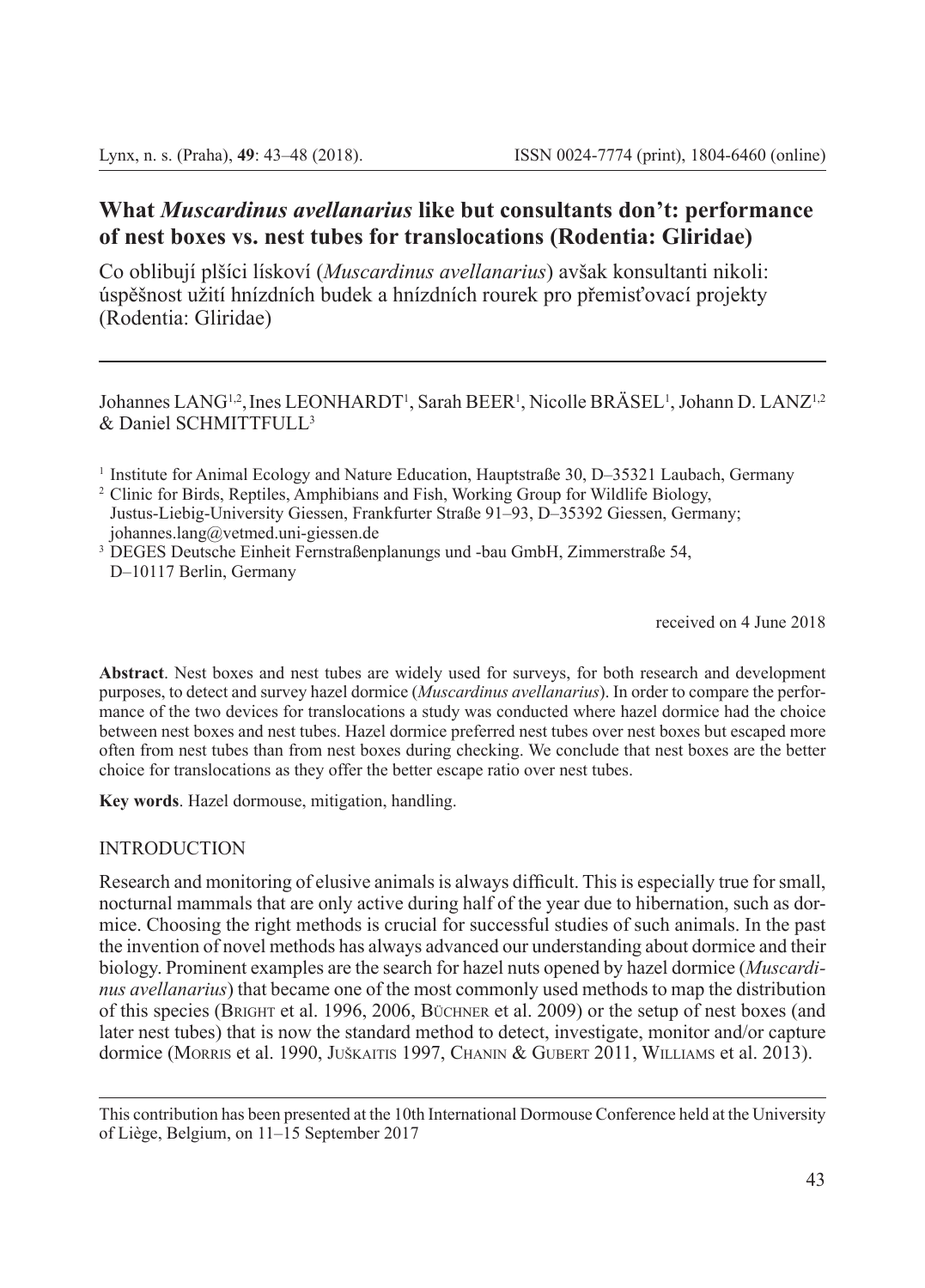# **What** *Muscardinus avellanarius* **like but consultants don't: performance of nest boxes vs. nest tubes for translocations (Rodentia: Gliridae)**

Co oblibují plšíci lískoví (*Muscardinus avellanarius*) avšak konsultanti nikoli: úspěšnost užití hnízdních budek a hnízdních rourek pro přemisťovací projekty (Rodentia: Gliridae)

Johannes LANG<sup>1,2</sup>, Ines LEONHARDT<sup>1</sup>, Sarah BEER<sup>1</sup>, Nicolle BRASEL<sup>1</sup>, Johann D. LANZ<sup>1,2</sup> & Daniel SCHMITTFULL3

<sup>3</sup> DEGES Deutsche Einheit Fernstraßenplanungs und -bau GmbH, Zimmerstraße 54, D–10117 Berlin, Germany

received on 4 June 2018

**Abstract**. Nest boxes and nest tubes are widely used for surveys, for both research and development purposes, to detect and survey hazel dormice (*Muscardinus avellanarius*). In order to compare the performance of the two devices for translocations a study was conducted where hazel dormice had the choice between nest boxes and nest tubes. Hazel dormice preferred nest tubes over nest boxes but escaped more often from nest tubes than from nest boxes during checking. We conclude that nest boxes are the better choice for translocations as they offer the better escape ratio over nest tubes.

**Key words**. Hazel dormouse, mitigation, handling.

## **INTRODUCTION**

Research and monitoring of elusive animals is always difficult. This is especially true for small, nocturnal mammals that are only active during half of the year due to hibernation, such as dormice. Choosing the right methods is crucial for successful studies of such animals. In the past the invention of novel methods has always advanced our understanding about dormice and their biology. Prominent examples are the search for hazel nuts opened by hazel dormice (*Muscardinus avellanarius*) that became one of the most commonly used methods to map the distribution of this species (Bright et al. 1996, 2006, Büchner et al. 2009) or the setup of nest boxes (and later nest tubes) that is now the standard method to detect, investigate, monitor and/or capture dormice (Morris et al. 1990, Juškaitis 1997, Chanin & Gubert 2011, Williams et al. 2013).

<sup>1</sup> Institute for Animal Ecology and Nature Education, Hauptstraße 30, D–35321 Laubach, Germany

<sup>&</sup>lt;sup>2</sup> Clinic for Birds, Reptiles, Amphibians and Fish, Working Group for Wildlife Biology, Justus-Liebig-University Giessen, Frankfurter Straße 91–93, D–35392 Giessen, Germany; johannes.lang@vetmed.uni-giessen.de

This contribution has been presented at the 10th International Dormouse Conference held at the University of Liège, Belgium, on 11–15 September 2017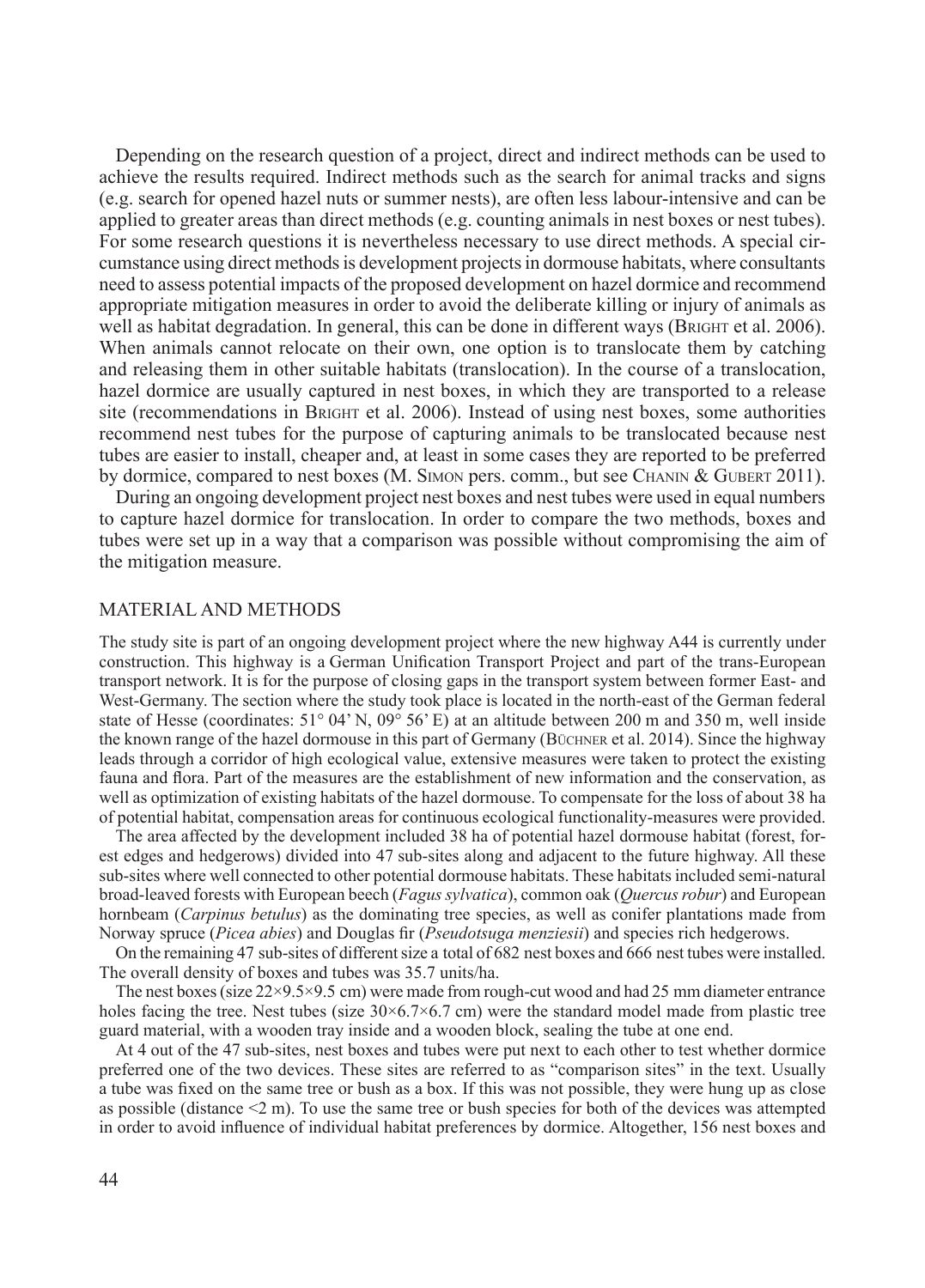Depending on the research question of a project, direct and indirect methods can be used to achieve the results required. Indirect methods such as the search for animal tracks and signs (e.g. search for opened hazel nuts or summer nests), are often less labour-intensive and can be applied to greater areas than direct methods (e.g. counting animals in nest boxes or nest tubes). For some research questions it is nevertheless necessary to use direct methods. A special circumstance using direct methods is development projects in dormouse habitats, where consultants need to assess potential impacts of the proposed development on hazel dormice and recommend appropriate mitigation measures in order to avoid the deliberate killing or injury of animals as well as habitat degradation. In general, this can be done in different ways (BRIGHT et al. 2006). When animals cannot relocate on their own, one option is to translocate them by catching and releasing them in other suitable habitats (translocation). In the course of a translocation, hazel dormice are usually captured in nest boxes, in which they are transported to a release site (recommendations in BRIGHT et al. 2006). Instead of using nest boxes, some authorities recommend nest tubes for the purpose of capturing animals to be translocated because nest tubes are easier to install, cheaper and, at least in some cases they are reported to be preferred by dormice, compared to nest boxes (M. SIMON pers. comm., but see CHANIN & GUBERT 2011).

During an ongoing development project nest boxes and nest tubes were used in equal numbers to capture hazel dormice for translocation. In order to compare the two methods, boxes and tubes were set up in a way that a comparison was possible without compromising the aim of the mitigation measure.

#### MATERIAL AND METHODS

The study site is part of an ongoing development project where the new highway A44 is currently under construction. This highway is a German Unification Transport Project and part of the trans-European transport network. It is for the purpose of closing gaps in the transport system between former East- and West-Germany. The section where the study took place is located in the north-east of the German federal state of Hesse (coordinates:  $51^{\circ}$  04' N,  $09^{\circ}$  56' E) at an altitude between 200 m and 350 m, well inside the known range of the hazel dormouse in this part of Germany (BÜCHNER et al. 2014). Since the highway leads through a corridor of high ecological value, extensive measures were taken to protect the existing fauna and flora. Part of the measures are the establishment of new information and the conservation, as well as optimization of existing habitats of the hazel dormouse. To compensate for the loss of about 38 ha of potential habitat, compensation areas for continuous ecological functionality-measures were provided.

The area affected by the development included 38 ha of potential hazel dormouse habitat (forest, forest edges and hedgerows) divided into 47 sub-sites along and adjacent to the future highway. All these sub-sites where well connected to other potential dormouse habitats. These habitats included semi-natural broad-leaved forests with European beech (*Fagus sylvatica*), common oak (*Quercus robur*) and European hornbeam (*Carpinus betulus*) as the dominating tree species, as well as conifer plantations made from Norway spruce (*Picea abies*) and Douglas fir (*Pseudotsuga menziesii*) and species rich hedgerows.

On the remaining 47 sub-sites of different size a total of 682 nest boxes and 666 nest tubes were installed. The overall density of boxes and tubes was 35.7 units/ha.

The nest boxes (size 22×9.5×9.5 cm) were made from rough-cut wood and had 25 mm diameter entrance holes facing the tree. Nest tubes (size  $30\times6.7\times6.7$  cm) were the standard model made from plastic tree guard material, with a wooden tray inside and a wooden block, sealing the tube at one end.

At 4 out of the 47 sub-sites, nest boxes and tubes were put next to each other to test whether dormice preferred one of the two devices. These sites are referred to as "comparison sites" in the text. Usually a tube was fixed on the same tree or bush as a box. If this was not possible, they were hung up as close as possible (distance  $\leq$  m). To use the same tree or bush species for both of the devices was attempted in order to avoid influence of individual habitat preferences by dormice. Altogether, 156 nest boxes and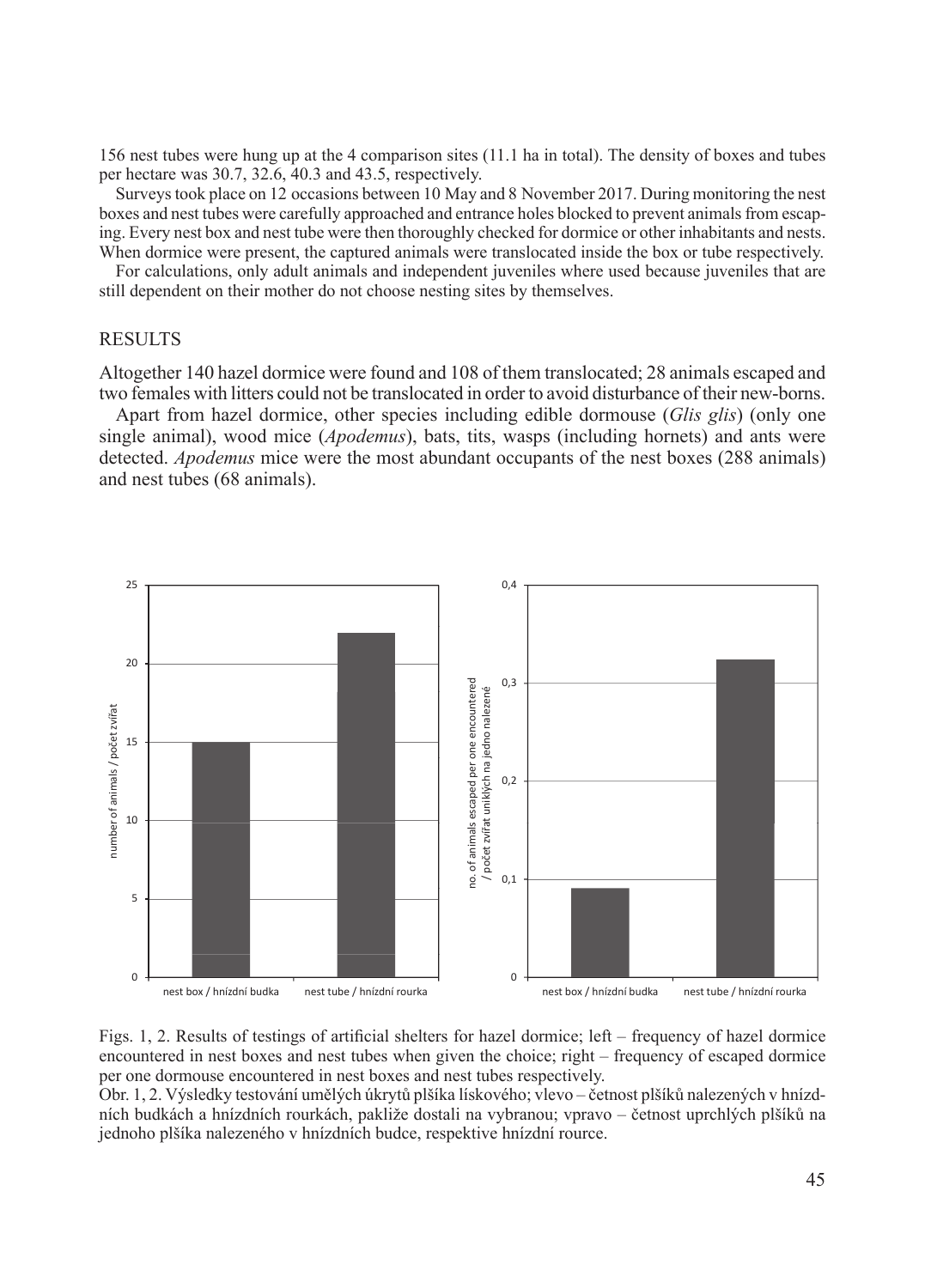156 nest tubes were hung up at the 4 comparison sites (11.1 ha in total). The density of boxes and tubes per hectare was 30.7, 32.6, 40.3 and 43.5, respectively.

Surveys took place on 12 occasions between 10 May and 8 November 2017. During monitoring the nest boxes and nest tubes were carefully approached and entrance holes blocked to prevent animals from escaping. Every nest box and nest tube were then thoroughly checked for dormice or other inhabitants and nests. When dormice were present, the captured animals were translocated inside the box or tube respectively.

For calculations, only adult animals and independent juveniles where used because juveniles that are still dependent on their mother do not choose nesting sites by themselves.

## **RESULTS**

Altogether 140 hazel dormice were found and 108 of them translocated; 28 animals escaped and two females with litters could not be translocated in order to avoid disturbance of their new-borns.

Apart from hazel dormice, other species including edible dormouse (*Glis glis*) (only one single animal), wood mice (*Apodemus*), bats, tits, wasps (including hornets) and ants were detected. *Apodemus* mice were the most abundant occupants of the nest boxes (288 animals) and nest tubes (68 animals).



Figs. 1, 2. Results of testings of artificial shelters for hazel dormice; left – frequency of hazel dormice encountered in nest boxes and nest tubes when given the choice; right – frequency of escaped dormice per one dormouse encountered in nest boxes and nest tubes respectively.

Obr. 1, 2. Výsledky testování umělých úkrytů plšíka lískového; vlevo – četnost plšíků nalezených v hnízdních budkách a hnízdních rourkách, pakliže dostali na vybranou; vpravo – četnost uprchlých plšíků na jednoho plšíka nalezeného v hnízdních budce, respektive hnízdní rource.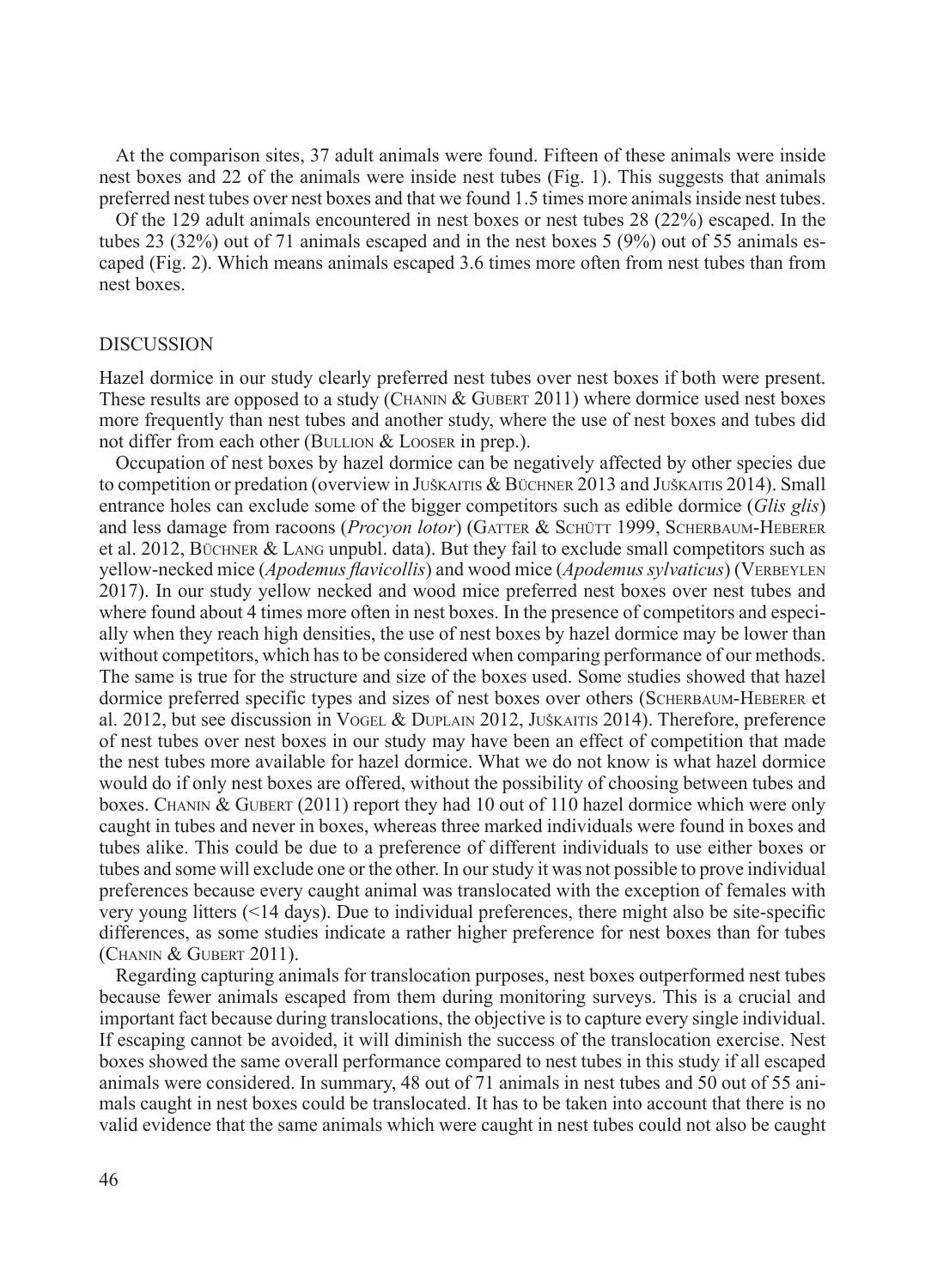At the comparison sites, 37 adult animals were found. Fifteen of these animals were inside nest boxes and 22 of the animals were inside nest tubes (Fig. 1). This suggests that animals preferred nest tubes over nest boxes and that we found 1.5 times more animals inside nest tubes.

Of the 129 adult animals encountered in nest boxes or nest tubes 28 (22%) escaped. In the tubes 23 (32%) out of 71 animals escaped and in the nest boxes 5 (9%) out of 55 animals escaped (Fig. 2). Which means animals escaped 3.6 times more often from nest tubes than from nest boxes.

#### DISCUSSION

Hazel dormice in our study clearly preferred nest tubes over nest boxes if both were present. These results are opposed to a study (CHANIN & GUBERT 2011) where dormice used nest boxes more frequently than nest tubes and another study, where the use of nest boxes and tubes did not differ from each other (BULLION  $&$  LOOSER in prep.).

Occupation of nest boxes by hazel dormice can be negatively affected by other species due to competition or predation (overview in Juškaitis & Büchner 2013 and Juškaitis 2014). Small entrance holes can exclude some of the bigger competitors such as edible dormice (*Glis glis*) and less damage from racoons (*Procyon lotor*) (GATTER & SCHÜTT 1999, SCHERBAUM-HEBERER et al. 2012, Büchner & Lang unpubl. data). But they fail to exclude small competitors such as yellow-necked mice (*Apodemus flavicollis*) and wood mice (*Apodemus sylvaticus*) (VERBEYLEN 2017). In our study yellow necked and wood mice preferred nest boxes over nest tubes and where found about 4 times more often in nest boxes. In the presence of competitors and especially when they reach high densities, the use of nest boxes by hazel dormice may be lower than without competitors, which has to be considered when comparing performance of our methods. The same is true for the structure and size of the boxes used. Some studies showed that hazel dormice preferred specific types and sizes of nest boxes over others (SCHERBAUM-HEBERER et al. 2012, but see discussion in Vogel & Duplain 2012, Juškaitis 2014). Therefore, preference of nest tubes over nest boxes in our study may have been an effect of competition that made the nest tubes more available for hazel dormice. What we do not know is what hazel dormice would do if only nest boxes are offered, without the possibility of choosing between tubes and boxes. CHANIN & GUBERT (2011) report they had 10 out of 110 hazel dormice which were only caught in tubes and never in boxes, whereas three marked individuals were found in boxes and tubes alike. This could be due to a preference of different individuals to use either boxes or tubes and some will exclude one or the other. In our study it was not possible to prove individual preferences because every caught animal was translocated with the exception of females with very young litters (<14 days). Due to individual preferences, there might also be site-specific differences, as some studies indicate a rather higher preference for nest boxes than for tubes (Chanin & Gubert 2011).

Regarding capturing animals for translocation purposes, nest boxes outperformed nest tubes because fewer animals escaped from them during monitoring surveys. This is a crucial and important fact because during translocations, the objective is to capture every single individual. If escaping cannot be avoided, it will diminish the success of the translocation exercise. Nest boxes showed the same overall performance compared to nest tubes in this study if all escaped animals were considered. In summary, 48 out of 71 animals in nest tubes and 50 out of 55 animals caught in nest boxes could be translocated. It has to be taken into account that there is no valid evidence that the same animals which were caught in nest tubes could not also be caught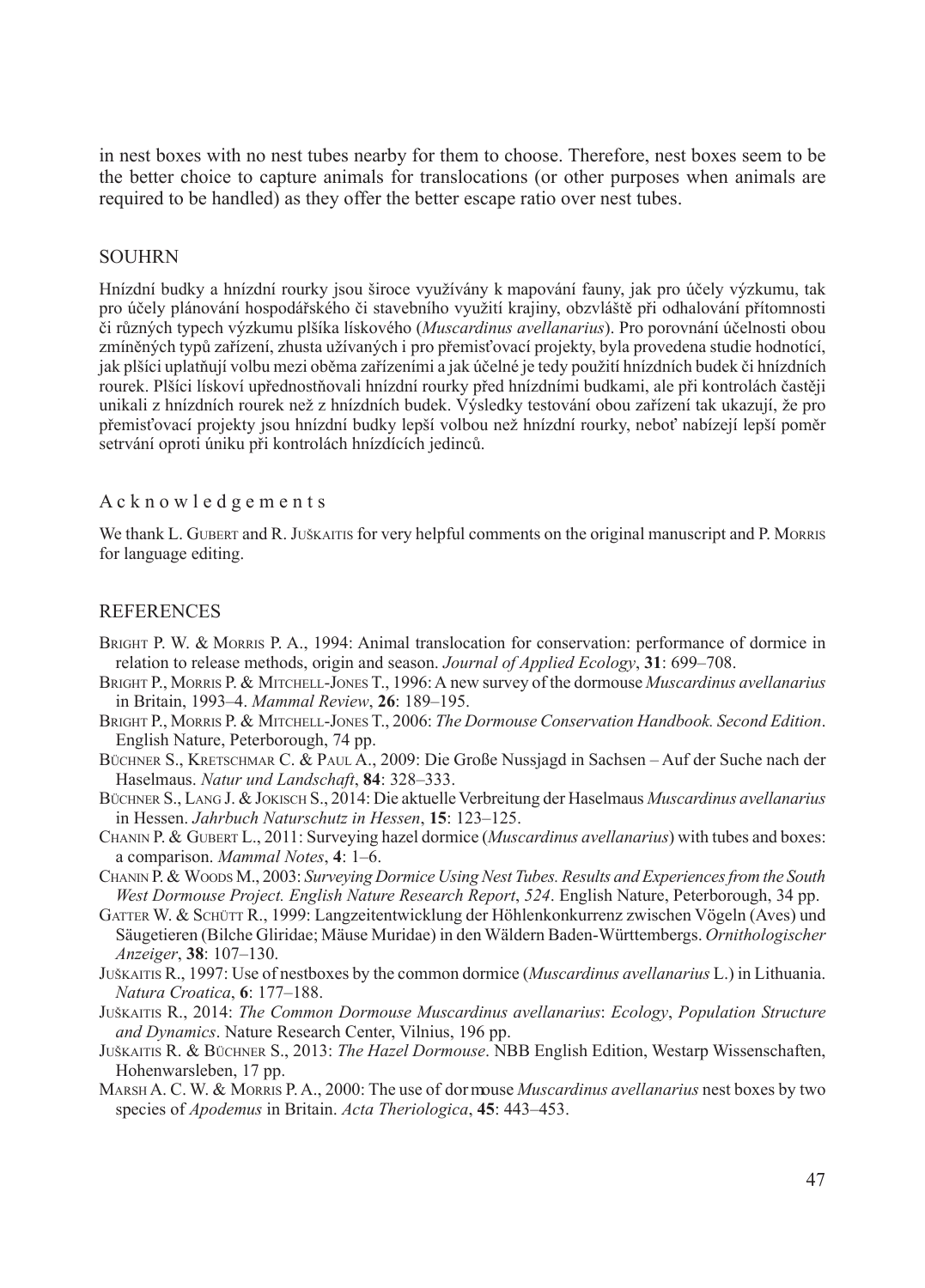in nest boxes with no nest tubes nearby for them to choose. Therefore, nest boxes seem to be the better choice to capture animals for translocations (or other purposes when animals are required to be handled) as they offer the better escape ratio over nest tubes.

#### SOUHRN

Hnízdní budky a hnízdní rourky jsou široce využívány k mapování fauny, jak pro účely výzkumu, tak pro účely plánování hospodářského či stavebního využití krajiny, obzvláště při odhalování přítomnosti či různých typech výzkumu plšíka lískového (*Muscardinus avellanarius*). Pro porovnání účelnosti obou zmíněných typů zařízení, zhusta užívaných i pro přemisťovací projekty, byla provedena studie hodnotící, jak plšíci uplatňují volbu mezi oběma zařízeními a jak účelné je tedy použití hnízdních budek či hnízdních rourek. Plšíci lískoví upřednostňovali hnízdní rourky před hnízdními budkami, ale při kontrolách častěji unikali z hnízdních rourek než z hnízdních budek. Výsledky testování obou zařízení tak ukazují, že pro přemisťovací projekty jsou hnízdní budky lepší volbou než hnízdní rourky, neboť nabízejí lepší poměr setrvání oproti úniku při kontrolách hnízdících jedinců.

### A c k n o w l e d g e m e n t s

We thank L. GUBERT and R. JUŠKAITIS for very helpful comments on the original manuscript and P. MORRIS for language editing.

#### **REFERENCES**

- Bright P. W. & Morris P. A., 1994: Animal translocation for conservation: performance of dormice in relation to release methods, origin and season. *Journal of Applied Ecology*, **31**: 699–708.
- Bright P., Morris P. & Mitchell-Jones T., 1996: A new survey of the dormouse *Muscardinus avellanarius* in Britain, 1993–4. *Mammal Review*, **26**: 189–195.
- Bright P., Morris P. & Mitchell-Jones T., 2006: *The Dormouse Conservation Handbook. Second Edition*. English Nature, Peterborough, 74 pp.
- Büchner S., Kretschmar C. & Paul A., 2009: Die Große Nussjagd in Sachsen Auf der Suche nach der Haselmaus. *Natur und Landschaft*, **84**: 328–333.
- Büchner S., Lang J. & Jokisch S., 2014: Die aktuelle Verbreitung der Haselmaus *Muscardinus avellanarius* in Hessen. *Jahrbuch Naturschutz in Hessen*, **15**: 123–125.
- Chanin P. & Gubert L., 2011: Surveying hazel dormice (*Muscardinus avellanarius*) with tubes and boxes: a comparison. *Mammal Notes*, **4**: 1–6.
- Chanin P. & Woods M., 2003: *Surveying Dormice Using Nest Tubes. Results and Experiences from the South West Dormouse Project. English Nature Research Report*, *524*. English Nature, Peterborough, 34 pp.
- GATTER W. & SCHÜTT R., 1999: Langzeitentwicklung der Höhlenkonkurrenz zwischen Vögeln (Aves) und Säugetieren (Bilche Gliridae; Mäuse Muridae) in den Wäldern Baden-Württembergs. *Ornithologischer Anzeiger*, **38**: 107–130.
- Juškaitis R., 1997: Use of nestboxes by the common dormice (*Muscardinus avellanarius* L.) in Lithuania. *Natura Croatica*, **6**: 177–188.
- Juškaitis R., 2014: *The Common Dormouse Muscardinus avellanarius*: *Ecology*, *Population Structure and Dynamics*. Nature Research Center, Vilnius, 196 pp.
- Juškaitis R. & Büchner S., 2013: *The Hazel Dormouse*. NBB English Edition, Westarp Wissenschaften, Hohenwarsleben, 17 pp.
- Marsh A. C. W. & Morris P. A., 2000: The use of dor mouse *Muscardinus avellanarius* nest boxes by two species of *Apodemus* in Britain. *Acta Theriologica*, **45**: 443–453.